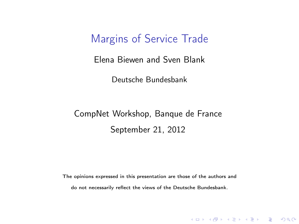#### Margins of Service Trade

Elena Biewen and Sven Blank

Deutsche Bundesbank

#### CompNet Workshop, Banque de France September 21, 2012

The opinions expressed in this presentation are those of the authors and do not necessarily reflect the views of the Deutsche Bundesbank.

KID KA KERKER E VOOR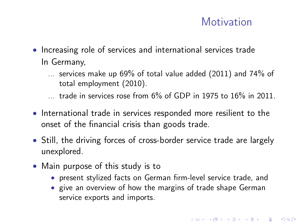#### **Motivation**

- Increasing role of services and international services trade In Germany,
	- ... services make up 69% of total value added (2011) and 74% of total employment (2010).
	- $\ldots$  trade in services rose from 6% of GDP in 1975 to 16% in 2011.
- International trade in services responded more resilient to the onset of the financial crisis than goods trade.
- Still, the driving forces of cross-border service trade are largely unexplored.
- Main purpose of this study is to
	- present stylized facts on German firm-level service trade, and
	- give an overview of how the margins of trade shape German service exports and imports.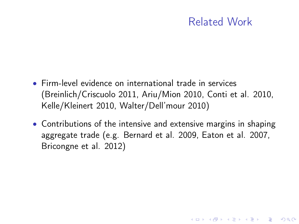#### Related Work

**KORKA REPARATION ADD** 

- Firm-level evidence on international trade in services (Breinlich/Criscuolo 2011, Ariu/Mion 2010, Conti et al. 2010, Kelle/Kleinert 2010, Walter/Dell'mour 2010)
- Contributions of the intensive and extensive margins in shaping aggregate trade (e.g. Bernard et al. 2009, Eaton et al. 2007, Bricongne et al. 2012)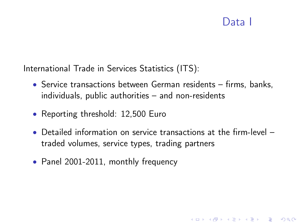#### Data I

**KORKA REPARATION ADD** 

International Trade in Services Statistics (ITS):

- Service transactions between German residents firms, banks, individuals, public authorities – and non-residents
- Reporting threshold: 12,500 Euro
- Detailed information on service transactions at the firm-level traded volumes, service types, trading partners
- Panel 2001-2011, monthly frequency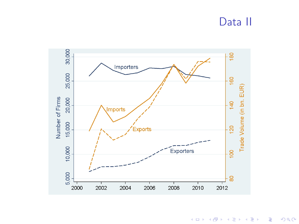#### Data II



メロト メタト メミト メミト  $290$ 一度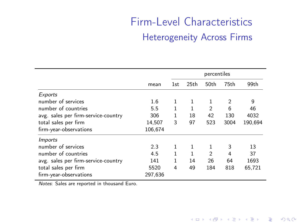## Firm-Level Characteristics Heterogeneity Across Firms

|                                     |         | percentiles |                  |                  |                |         |  |
|-------------------------------------|---------|-------------|------------------|------------------|----------------|---------|--|
|                                     | mean    | 1st         | 25 <sub>th</sub> | 50 <sub>th</sub> | 75th           | 99th    |  |
| Exports                             |         |             |                  |                  |                |         |  |
| number of services                  | 1.6     | 1           | 1                |                  | $\overline{2}$ | 9       |  |
| number of countries                 | 5.5     | 1           | 1                | $\overline{2}$   | 6              | 46      |  |
| avg. sales per firm-service-country | 306     | 1           | 18               | 42               | 130            | 4032    |  |
| total sales per firm                | 14,507  | 3           | 97               | 523              | 3004           | 190,694 |  |
| firm-year-observations              | 106.674 |             |                  |                  |                |         |  |
| <i>Imports</i>                      |         |             |                  |                  |                |         |  |
| number of services                  | 2.3     | 1           |                  |                  | 3              | 13      |  |
| number of countries                 | 4.5     | 1           |                  | $\overline{2}$   | 4              | 37      |  |
| avg. sales per firm-service-country | 141     | 1           | 14               | 26               | 64             | 1693    |  |
| total sales per firm                | 5520    | 4           | 49               | 184              | 818            | 65,721  |  |
| firm-year-observations              | 297.636 |             |                  |                  |                |         |  |

Notes: Sales are reported in thousand Euro.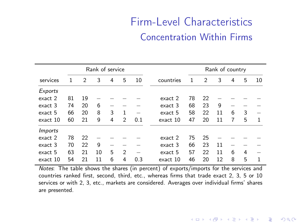## Firm-Level Characteristics Concentration Within Firms

|                |    |    | Rank of service |   |   |     |           |    | Rank of country |    |   |   |    |
|----------------|----|----|-----------------|---|---|-----|-----------|----|-----------------|----|---|---|----|
| services       |    | 2  | 3               | 4 | 5 | 10  | countries |    | 2               | 3  | 4 | 5 | 10 |
| Exports        |    |    |                 |   |   |     |           |    |                 |    |   |   |    |
| exact 2        | 81 | 19 |                 |   |   |     | exact 2   | 78 | 22              |    |   |   |    |
| exact 3        | 74 | 20 | 6               |   |   |     | exact 3   | 68 | 23              | 9  |   |   |    |
| exact 5        | 66 | 20 | 8               | 3 | 1 |     | exact 5   | 58 | 22              | 11 | 6 | 3 |    |
| exact 10       | 60 | 21 | 9               | 4 | 2 | 0.1 | exact 10  | 47 | 20              | 11 | 7 | 5 | 1  |
| <i>Imports</i> |    |    |                 |   |   |     |           |    |                 |    |   |   |    |
| exact 2        | 78 | 22 |                 |   |   |     | exact 2   | 75 | 25              |    |   |   |    |
| exact 3        | 70 | 22 | 9               |   |   |     | exact 3   | 66 | 23              | 11 |   |   |    |
| exact 5        | 63 | 21 | 10              | 5 | 2 |     | exact 5   | 57 | 22              | 11 | 6 | 4 |    |
| exact 10       | 54 | 21 | 11              | 6 | 4 | 0.3 | exact 10  | 46 | 20              | 12 | 8 | 5 | 1  |

J.

Notes: The table shows the shares (in percent) of exports/imports for the services and countries ranked first, second, third, etc., whereas firms that trade exact 2, 3, 5 or 10 services or with 2, 3, etc., markets are considered. Averages over individual firms' shares are presented.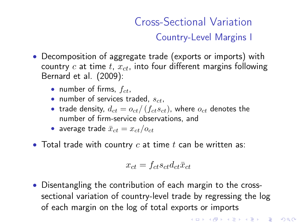## Cross-Sectional Variation Country-Level Margins I

- Decomposition of aggregate trade (exports or imports) with country c at time t,  $x_{ct}$ , into four different margins following Bernard et al. (2009):
	- number of firms,  $f_{ct}$ ,
	- number of services traded,  $s_{ct}$ ,
	- trade density,  $d_{ct} = o_{ct}/(f_{ct}s_{ct})$ , where  $o_{ct}$  denotes the number of firm-service observations, and
	- average trade  $\bar{x}_{ct} = x_{ct}/o_{ct}$
- Total trade with country  $c$  at time  $t$  can be written as:

$$
x_{ct} = f_{ct} s_{ct} d_{ct} \bar{x}_{ct}
$$

• Disentangling the contribution of each margin to the crosssectional variation of country-level trade by regressing the log of each margin on the log of total exports or imports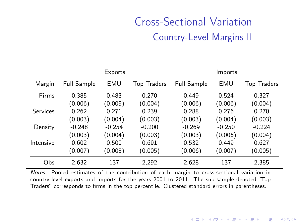## Cross-Sectional Variation Country-Level Margins II

|           |                    | Exports  |                    |                    | Imports  |                    |
|-----------|--------------------|----------|--------------------|--------------------|----------|--------------------|
| Margin    | <b>Full Sample</b> | EMU      | <b>Top Traders</b> | <b>Full Sample</b> | EMU      | <b>Top Traders</b> |
| Firms     | 0.385              | 0.483    | 0.270              | 0.449              | 0.524    | 0.327              |
|           | (0.006)            | (0.005)  | (0.004)            | (0.006)            | (0.006)  | (0.004)            |
| Services  | 0.262              | 0.271    | 0.239              | 0.288              | 0.276    | 0.270              |
|           | (0.003)            | (0.004)  | (0.003)            | (0.003)            | (0.004)  | (0.003)            |
| Density   | $-0.248$           | $-0.254$ | $-0.200$           | $-0.269$           | $-0.250$ | $-0.224$           |
|           | (0.003)            | (0.004)  | (0.003)            | (0.003)            | (0.006)  | (0.004)            |
| Intensive | 0.602              | 0.500    | 0.691              | 0.532              | 0.449    | 0.627              |
|           | (0.007)            | (0.005)  | (0.005)            | (0.006)            | (0.007)  | (0.005)            |
| Obs       | 2.632              | 137      | 2.292              | 2.628              | 137      | 2.385              |

۰

Notes: Pooled estimates of the contribution of each margin to cross-sectional variation in country-level exports and imports for the years 2001 to 2011. The sub-sample denoted "Top Traders" corresponds to firms in the top percentile. Clustered standard errors in parentheses.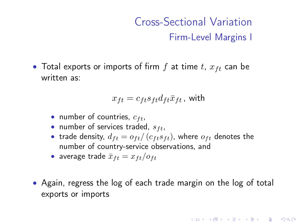## Cross-Sectional Variation Firm-Level Margins I

**KORK EX KEY KEY YOUR** 

• Total exports or imports of firm  $f$  at time  $t$ ,  $x_{ft}$  can be written as:

$$
x_{ft} = c_{ft} s_{ft} d_{ft} \bar{x}_{ft}
$$
, with

- number of countries,  $c_{ft}$ ,
- number of services traded,  $s_{ft}$ ,
- trade density,  $d_{ft} = o_{ft}/(c_{ft} s_{ft})$ , where  $o_{ft}$  denotes the number of country-service observations, and
- average trade  $\bar{x}_{ft} = x_{ft}/o_{ft}$
- Again, regress the log of each trade margin on the log of total exports or imports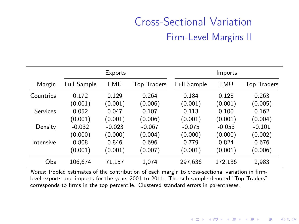## Cross-Sectional Variation Firm-Level Margins II

|           |                    | Exports  |                    |                    | Imports  |                    |
|-----------|--------------------|----------|--------------------|--------------------|----------|--------------------|
| Margin    | <b>Full Sample</b> | EMU      | <b>Top Traders</b> | <b>Full Sample</b> | EMU      | <b>Top Traders</b> |
| Countries | 0.172              | 0.129    | 0.264              | 0.184              | 0.128    | 0.263              |
|           | (0.001)            | (0.001)  | (0.006)            | (0.001)            | (0.001)  | (0.005)            |
| Services  | 0.052              | 0.047    | 0.107              | 0.113              | 0.100    | 0.162              |
|           | (0.001)            | (0.001)  | (0.006)            | (0.001)            | (0.001)  | (0.004)            |
| Density   | $-0.032$           | $-0.023$ | $-0.067$           | $-0.075$           | $-0.053$ | $-0.101$           |
|           | (0.000)            | (0.000)  | (0.004)            | (0.000)            | (0.000)  | (0.002)            |
| Intensive | 0.808              | 0.846    | 0.696              | 0.779              | 0.824    | 0.676              |
|           | (0.001)            | (0.001)  | (0.007)            | (0.001)            | (0.001)  | (0.006)            |
| Obs       | 106.674            | 71.157   | 1.074              | 297.636            | 172.136  | 2.983              |

۰

Notes: Pooled estimates of the contribution of each margin to cross-sectional variation in firmlevel exports and imports for the years 2001 to 2011. The sub-sample denoted "Top Traders" corresponds to firms in the top percentile. Clustered standard errors in parentheses.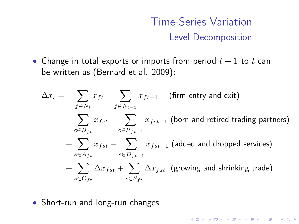## Time-Series Variation Level Decomposition

K □ ▶ K @ ▶ K 할 ▶ K 할 ▶ | 할 | K 9 Q @

• Change in total exports or imports from period  $t - 1$  to  $t$  can be written as (Bernard et al. 2009):

$$
\Delta x_t = \sum_{f \in N_t} x_{ft} - \sum_{f \in E_{t-1}} x_{ft-1} \quad \text{(firm entry and exit)}
$$
\n
$$
+ \sum_{c \in B_{ft}} x_{fct} - \sum_{c \in R_{ft-1}} x_{fct-1} \text{ (born and retired trading partners)}
$$
\n
$$
+ \sum_{s \in A_{ft}} x_{fst} - \sum_{s \in D_{ft-1}} x_{fst-1} \text{ (added and dropped services)}
$$
\n
$$
+ \sum_{s \in G_{ft}} \Delta x_{fst} + \sum_{s \in S_{ft}} \Delta x_{fst} \text{ (growing and shrinking trade)}
$$

• Short-run and long-run changes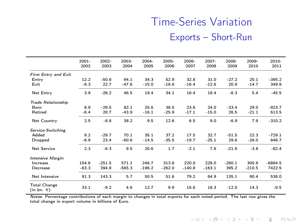## Time-Series Variation Exports – Short-Run

|                                       | $2001 -$<br>2002 | 2002-<br>2003 | 2003-<br>2004 | 2004-<br>2005 | 2005-<br>2006 | 2006-<br>2007 | 2007-<br>2008 | 2008-<br>2009 | 2009-<br>2010 | 2010-<br>2011 |
|---------------------------------------|------------------|---------------|---------------|---------------|---------------|---------------|---------------|---------------|---------------|---------------|
| Firm Entry and Exit                   |                  |               |               |               |               |               |               |               |               |               |
| Entry                                 | 12.2             | $-50.8$       | 94.1          | 34.3          | 52.9          | 32.8          | 31.0          | $-27.2$       | 20.1          | $-395.2$      |
| Exit                                  | $-8.3$           | 22.7          | $-47.6$       | $-15.0$       | $-18.8$       | $-16.4$       | $-12.6$       | 20.9          | $-14.7$       | 349.8         |
| Net Entry                             | 3.9              | $-28.2$       | 46.5          | 19.4          | 34.1          | 16.4          | 18.4          | $-6.3$        | 5.4           | $-45.5$       |
| <b>Trade Relationship</b>             |                  |               |               |               |               |               |               |               |               |               |
| Born                                  | 8.9              | $-29.5$       | 82.1          | 25.6          | 38.5          | 23.6          | 24.0          | $-33.4$       | 29.0          | $-923.7$      |
| Retired                               | $-6.4$           | 20.7          | $-43.9$       | $-16.1$       | $-25.9$       | $-17.1$       | $-15.0$       | 26.5          | $-21.1$       | 613.5         |
| Net Country                           | 2.5              | $-8.8$        | 38.2          | 9.5           | 12.6          | 6.5           | 9.0           | $-6.9$        | 7.9           | $-310.2$      |
| Service-Switching                     |                  |               |               |               |               |               |               |               |               |               |
| Added                                 | 9.2              | $-29.7$       | 70.1          | 35.1          | 37.2          | 17.5          | 32.7          | $-51.5$       | 22.3          | $-729.1$      |
| Dropped                               | $-6.9$           | 23.4          | $-60.6$       | $-14.5$       | $-35.5$       | $-19.7$       | $-25.1$       | 29.6          | $-26.0$       | 646.7         |
| <b>Net Service</b>                    | 2.3              | $-6.3$        | 9.5           | 20.6          | 1.7           | $-2.1$        | 7.6           | $-21.9$       | $-3.8$        | $-82.4$       |
| <b>Intensive Margin</b>               |                  |               |               |               |               |               |               |               |               |               |
| Increase                              | 154.6            | $-251.5$      | 571.1         | 246.7         | 313.6         | 220.0         | 228.0         | $-260.1$      | 300.9         | $-6884.5$     |
| Decrease                              | $-63.3$          | 394.8         | $-565.3$      | $-196.2$      | $-262.0$      | $-140.8$      | $-163.1$      | 395.2         | $-210.5$      | 7422.5        |
| Net Intensive                         | 91.3             | 143.3         | 5.7           | 50.5          | 51.6          | 79.2          | 64.9          | 135.1         | 90.4          | 538.0         |
| <b>Total Change</b><br>$(in bn. \in)$ | 33.1             | $-9.2$        | 4.6           | 12.7          | 9.9           | 16.6          | 18.3          | $-12.0$       | 14.3          | $-0.5$        |

 $\overline{\phantom{0}}$ 

Notes: Percentage contributions of each margin to changes in total exports for each noted period. The last row gives the total change in export volume in billions of Euro.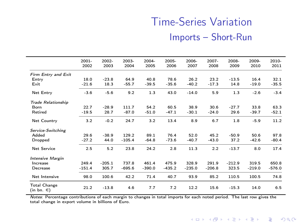## Time-Series Variation Imports – Short-Run

|                                       | $2001 -$<br>2002 | 2002-<br>2003 | 2003-<br>2004 | $2004 -$<br>2005 | $2005 -$<br>2006 | $2006 -$<br>2007 | $2007 -$<br>2008 | 2008-<br>2009 | 2009-<br>2010 | 2010-<br>2011 |
|---------------------------------------|------------------|---------------|---------------|------------------|------------------|------------------|------------------|---------------|---------------|---------------|
| Firm Entry and Exit                   |                  |               |               |                  |                  |                  |                  |               |               |               |
| Entry                                 | 18.0             | $-23.8$       | 64.9          | 40.8             | 78.6             | 26.2             | 23.2             | $-13.5$       | 16.4          | 32.1          |
| Exit                                  | $-21.6$          | 18.3          | $-55.7$       | $-39.5$          | $-35.6$          | $-40.2$          | $-17.3$          | 14.8          | $-19.0$       | $-35.5$       |
| Net Entry                             | $-3.6$           | $-5.6$        | 9.2           | 1.3              | 43.0             | $-14.0$          | 5.9              | 1.3           | $-2.6$        | $-3.4$        |
| <b>Trade Relationship</b>             |                  |               |               |                  |                  |                  |                  |               |               |               |
| Born                                  | 22.7             | $-28.9$       | 111.7         | 54.2             | 60.5             | 38.9             | 30.6             | $-27.7$       | 33.8          | 63.3          |
| Retired                               | $-19.5$          | 28.7          | $-87.0$       | $-51.0$          | $-47.1$          | $-30.1$          | $-24.0$          | 29.6          | $-39.7$       | $-52.1$       |
| Net Country                           | 3.2              | $-0.2$        | 24.7          | 3.2              | 13.4             | 8.9              | 6.7              | 1.8           | $-5.9$        | 11.2          |
| Service-Switching                     |                  |               |               |                  |                  |                  |                  |               |               |               |
| Added                                 | 29.6             | $-38.9$       | 129.2         | 89.1             | 76.4             | 52.0             | 45.2             | $-50.9$       | 50.6          | 97.8          |
| Dropped                               | $-27.2$          | 44.0          | $-105.4$      | $-64.8$          | $-73.6$          | $-40.7$          | $-43.0$          | 37.2          | $-42.6$       | $-80.4$       |
| Net Service                           | 2.5              | 5.2           | 23.8          | 24.2             | 2.8              | 11.3             | 2.2              | $-13.7$       | 8.0           | 17.4          |
| <b>Intensive Margin</b>               |                  |               |               |                  |                  |                  |                  |               |               |               |
| Increase                              | 249.4            | $-205.1$      | 737.8         | 461.4            | 475.9            | 328.9            | 291.9            | $-212.9$      | 319.5         | 650.8         |
| Decrease                              | $-151.4$         | 305.7         | $-695.6$      | $-390.0$         | $-435.2$         | $-235.0$         | $-206.8$         | 323.5         | $-219.0$      | $-576.0$      |
| Net Intensive                         | 98.0             | 100.6         | 42.2          | 71.4             | 40.7             | 93.9             | 85.2             | 110.5         | 100.5         | 74.8          |
| <b>Total Change</b><br>$(in bn. \in)$ | 21.2             | $-13.8$       | 4.6           | 7.7              | 7.2              | 12.2             | 15.6             | $-15.3$       | 14.0          | 6.5           |

 $\overline{\phantom{a}}$ 

Notes: Percentage contributions of each margin to changes in total imports for each noted period. The last row gives the total change in export volume in billions of Euro.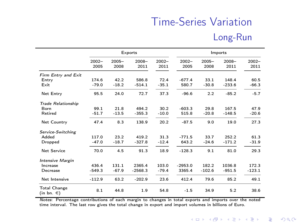## Time-Series Variation Long-Run

|                                   |          |          | Exports   |          |           | Imports  |          |          |  |  |  |
|-----------------------------------|----------|----------|-----------|----------|-----------|----------|----------|----------|--|--|--|
|                                   | $2002 -$ | $2005 -$ | $2008 -$  | $2002 -$ | $2002 -$  | $2005 -$ | $2008 -$ | $2002 -$ |  |  |  |
|                                   | 2005     | 2008     | 2011      | 2011     | 2005      | 2008     | 2011     | 2011     |  |  |  |
| Firm Entry and Exit               |          |          |           |          |           |          |          |          |  |  |  |
| Entry                             | 174.6    | 42.2     | 586.8     | 72.4     | $-677.4$  | 33.1     | 148.4    | 60.5     |  |  |  |
| Exit                              | $-79.0$  | $-18.2$  | $-514.1$  | $-35.1$  | 580.7     | $-30.8$  | $-233.6$ | $-66.3$  |  |  |  |
| Net Entry                         | 95.5     | 24.0     | 72.7      | 37.3     | $-96.6$   | 2.2      | $-85.2$  | $-5.7$   |  |  |  |
| <b>Trade Relationship</b>         |          |          |           |          |           |          |          |          |  |  |  |
| Born                              | 99.1     | 21.8     | 494.2     | 30.2     | $-603.3$  | 29.8     | 167.5    | 47.9     |  |  |  |
| Retired                           | $-51.7$  | $-13.5$  | $-355.3$  | $-10.0$  | 515.8     | $-20.8$  | $-148.5$ | $-20.6$  |  |  |  |
| Net Country                       | 47.4     | 8.3      | 138.9     | 20.2     | $-87.5$   | 9.0      | 19.0     | 27.3     |  |  |  |
| Service-Switching                 |          |          |           |          |           |          |          |          |  |  |  |
| Added                             | 117.0    | 23.2     | 419.2     | 31.3     | $-771.5$  | 33.7     | 252.2    | 61.3     |  |  |  |
| Dropped                           | $-47.0$  | $-18.7$  | $-327.8$  | $-12.4$  | 643.2     | $-24.6$  | $-171.2$ | $-31.9$  |  |  |  |
| <b>Net Service</b>                | 70.0     | 4.5      | 91.3      | 18.9     | $-128.3$  | 9.1      | 81.0     | 29.3     |  |  |  |
| <b>Intensive Margin</b>           |          |          |           |          |           |          |          |          |  |  |  |
| Increase                          | 436.4    | 131.1    | 2365.4    | 103.0    | $-2953.0$ | 182.2    | 1036.8   | 172.3    |  |  |  |
| Decrease                          | $-549.3$ | $-67.9$  | $-2568.3$ | $-79.4$  | 3365.4    | $-102.6$ | $-951.5$ | $-123.1$ |  |  |  |
| Net Intensive                     | $-112.9$ | 63.2     | $-202.9$  | 23.6     | 412.4     | 79.6     | 85.2     | 49.1     |  |  |  |
| <b>Total Change</b><br>(in bn. €) | 8.1      | 44.8     | 1.9       | 54.8     | $-1.5$    | 34.9     | 5.2      | 38.6     |  |  |  |

Notes: Percentage contributions of each margin to changes in total exports and imports over the noted time interval. The last row gives the total change in export and import volumes in billions of Euro.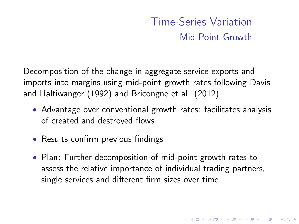## Time-Series Variation Mid-Point Growth

4 D X 4 P X 3 X 4 B X 3 B X 9 Q O

Decomposition of the change in aggregate service exports and imports into margins using mid-point growth rates following Davis and Haltiwanger (1992) and Bricongne et al. (2012)

- Advantage over conventional growth rates: facilitates analysis of created and destroyed flows
- Results confirm previous findings
- Plan: Further decomposition of mid-point growth rates to assess the relative importance of individual trading partners, single services and different firm sizes over time